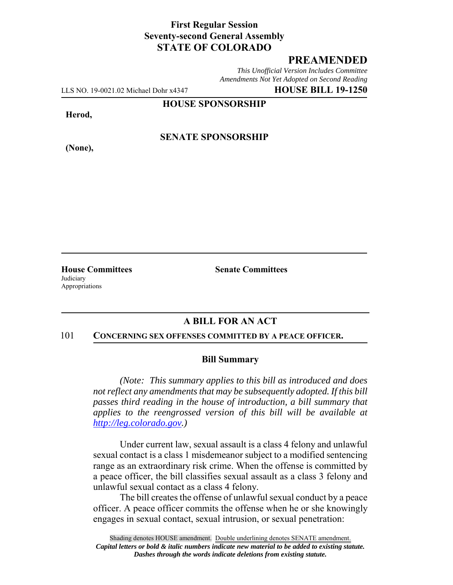## **First Regular Session Seventy-second General Assembly STATE OF COLORADO**

# **PREAMENDED**

*This Unofficial Version Includes Committee Amendments Not Yet Adopted on Second Reading*

LLS NO. 19-0021.02 Michael Dohr x4347 **HOUSE BILL 19-1250**

**HOUSE SPONSORSHIP**

**Herod,**

**(None),**

### **SENATE SPONSORSHIP**

**Judiciary** Appropriations

**House Committees Senate Committees** 

# **A BILL FOR AN ACT**

#### 101 **CONCERNING SEX OFFENSES COMMITTED BY A PEACE OFFICER.**

#### **Bill Summary**

*(Note: This summary applies to this bill as introduced and does not reflect any amendments that may be subsequently adopted. If this bill passes third reading in the house of introduction, a bill summary that applies to the reengrossed version of this bill will be available at http://leg.colorado.gov.)*

Under current law, sexual assault is a class 4 felony and unlawful sexual contact is a class 1 misdemeanor subject to a modified sentencing range as an extraordinary risk crime. When the offense is committed by a peace officer, the bill classifies sexual assault as a class 3 felony and unlawful sexual contact as a class 4 felony.

The bill creates the offense of unlawful sexual conduct by a peace officer. A peace officer commits the offense when he or she knowingly engages in sexual contact, sexual intrusion, or sexual penetration: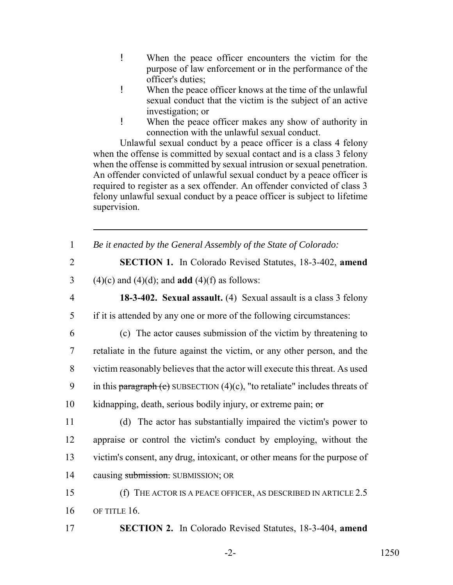- ! When the peace officer encounters the victim for the purpose of law enforcement or in the performance of the officer's duties;
- ! When the peace officer knows at the time of the unlawful sexual conduct that the victim is the subject of an active investigation; or
- ! When the peace officer makes any show of authority in connection with the unlawful sexual conduct.

Unlawful sexual conduct by a peace officer is a class 4 felony when the offense is committed by sexual contact and is a class 3 felony when the offense is committed by sexual intrusion or sexual penetration. An offender convicted of unlawful sexual conduct by a peace officer is required to register as a sex offender. An offender convicted of class 3 felony unlawful sexual conduct by a peace officer is subject to lifetime supervision.

| $\mathbf{1}$   | Be it enacted by the General Assembly of the State of Colorado:                |
|----------------|--------------------------------------------------------------------------------|
| $\overline{2}$ | <b>SECTION 1.</b> In Colorado Revised Statutes, 18-3-402, amend                |
| 3              | $(4)(c)$ and $(4)(d)$ ; and <b>add</b> $(4)(f)$ as follows:                    |
| $\overline{4}$ | 18-3-402. Sexual assault. (4) Sexual assault is a class 3 felony               |
| 5              | if it is attended by any one or more of the following circumstances:           |
| 6              | (c) The actor causes submission of the victim by threatening to                |
| $\overline{7}$ | retaliate in the future against the victim, or any other person, and the       |
| 8              | victim reasonably believes that the actor will execute this threat. As used    |
| 9              | in this paragraph (c) SUBSECTION $(4)(c)$ , "to retaliate" includes threats of |
| 10             | kidnapping, death, serious bodily injury, or extreme pain; or                  |
| 11             | (d) The actor has substantially impaired the victim's power to                 |
| 12             | appraise or control the victim's conduct by employing, without the             |
| 13             | victim's consent, any drug, intoxicant, or other means for the purpose of      |
| 14             | causing submission. SUBMISSION; OR                                             |
| 15             | (f) THE ACTOR IS A PEACE OFFICER, AS DESCRIBED IN ARTICLE $2.5$                |
| 16             | OF TITLE 16.                                                                   |
| 17             | <b>SECTION 2.</b> In Colorado Revised Statutes, 18-3-404, amend                |

-2- 1250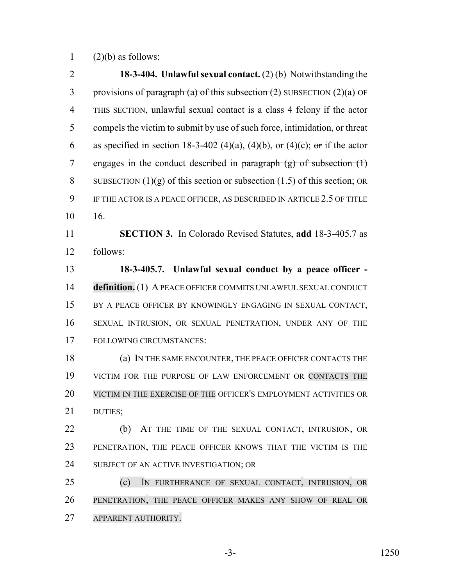1  $(2)(b)$  as follows:

 **18-3-404. Unlawful sexual contact.** (2) (b) Notwithstanding the 3 provisions of paragraph (a) of this subsection  $(2)$  SUBSECTION  $(2)(a)$  OF THIS SECTION, unlawful sexual contact is a class 4 felony if the actor compels the victim to submit by use of such force, intimidation, or threat 6 as specified in section 18-3-402 (4)(a), (4)(b), or (4)(c); or if the actor 7 engages in the conduct described in paragraph  $(g)$  of subsection  $(1)$ 8 SUBSECTION  $(1)(g)$  of this section or subsection  $(1.5)$  of this section; OR IF THE ACTOR IS A PEACE OFFICER, AS DESCRIBED IN ARTICLE 2.5 OF TITLE 16. **SECTION 3.** In Colorado Revised Statutes, **add** 18-3-405.7 as follows: **18-3-405.7. Unlawful sexual conduct by a peace officer - definition.** (1) A PEACE OFFICER COMMITS UNLAWFUL SEXUAL CONDUCT BY A PEACE OFFICER BY KNOWINGLY ENGAGING IN SEXUAL CONTACT, SEXUAL INTRUSION, OR SEXUAL PENETRATION, UNDER ANY OF THE FOLLOWING CIRCUMSTANCES: (a) IN THE SAME ENCOUNTER, THE PEACE OFFICER CONTACTS THE VICTIM FOR THE PURPOSE OF LAW ENFORCEMENT OR CONTACTS THE VICTIM IN THE EXERCISE OF THE OFFICER'S EMPLOYMENT ACTIVITIES OR DUTIES; 22 (b) AT THE TIME OF THE SEXUAL CONTACT, INTRUSION, OR PENETRATION, THE PEACE OFFICER KNOWS THAT THE VICTIM IS THE 24 SUBJECT OF AN ACTIVE INVESTIGATION; OR (c) IN FURTHERANCE OF SEXUAL CONTACT, INTRUSION, OR PENETRATION, THE PEACE OFFICER MAKES ANY SHOW OF REAL OR APPARENT AUTHORITY.

-3- 1250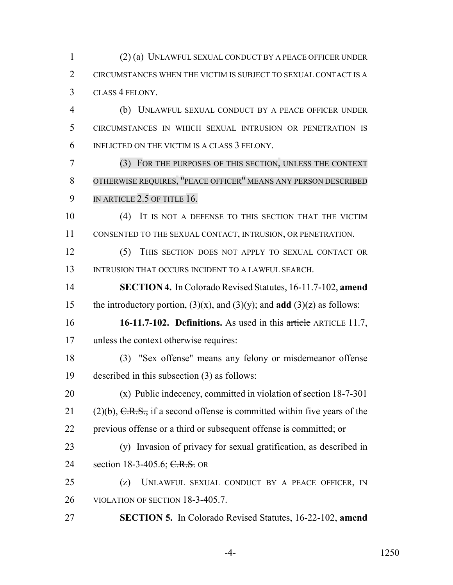(2) (a) UNLAWFUL SEXUAL CONDUCT BY A PEACE OFFICER UNDER CIRCUMSTANCES WHEN THE VICTIM IS SUBJECT TO SEXUAL CONTACT IS A CLASS 4 FELONY.

 (b) UNLAWFUL SEXUAL CONDUCT BY A PEACE OFFICER UNDER CIRCUMSTANCES IN WHICH SEXUAL INTRUSION OR PENETRATION IS INFLICTED ON THE VICTIM IS A CLASS 3 FELONY.

 (3) FOR THE PURPOSES OF THIS SECTION, UNLESS THE CONTEXT OTHERWISE REQUIRES, "PEACE OFFICER" MEANS ANY PERSON DESCRIBED 9 IN ARTICLE 2.5 OF TITLE 16.

 (4) IT IS NOT A DEFENSE TO THIS SECTION THAT THE VICTIM CONSENTED TO THE SEXUAL CONTACT, INTRUSION, OR PENETRATION.

 (5) THIS SECTION DOES NOT APPLY TO SEXUAL CONTACT OR 13 INTRUSION THAT OCCURS INCIDENT TO A LAWFUL SEARCH.

 **SECTION 4.** In Colorado Revised Statutes, 16-11.7-102, **amend** 15 the introductory portion,  $(3)(x)$ , and  $(3)(y)$ ; and **add**  $(3)(z)$  as follows:

 **16-11.7-102. Definitions.** As used in this article ARTICLE 11.7, unless the context otherwise requires:

 (3) "Sex offense" means any felony or misdemeanor offense described in this subsection (3) as follows:

 (x) Public indecency, committed in violation of section 18-7-301 21 (2)(b),  $C.R.S.,$  if a second offense is committed within five years of the 22 previous offense or a third or subsequent offense is committed;  $\sigma$ 

 (y) Invasion of privacy for sexual gratification, as described in 24 section 18-3-405.6; C.R.S. OR

 (z) UNLAWFUL SEXUAL CONDUCT BY A PEACE OFFICER, IN VIOLATION OF SECTION 18-3-405.7.

**SECTION 5.** In Colorado Revised Statutes, 16-22-102, **amend**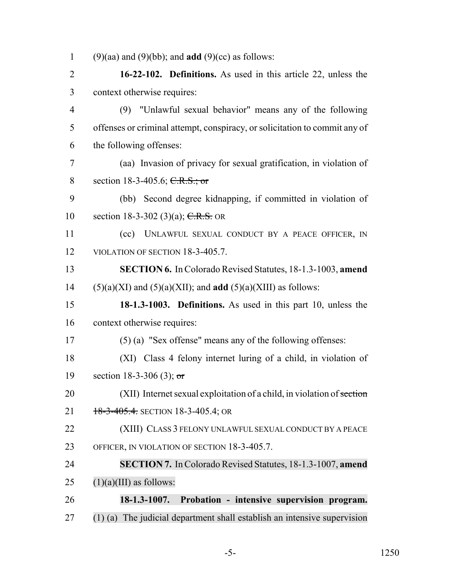(9)(aa) and (9)(bb); and **add** (9)(cc) as follows:

 **16-22-102. Definitions.** As used in this article 22, unless the context otherwise requires:

 (9) "Unlawful sexual behavior" means any of the following offenses or criminal attempt, conspiracy, or solicitation to commit any of the following offenses:

 (aa) Invasion of privacy for sexual gratification, in violation of 8 section 18-3-405.6; C.R.S.; or

 (bb) Second degree kidnapping, if committed in violation of 10 section 18-3-302 (3)(a); C.R.S. OR

 (cc) UNLAWFUL SEXUAL CONDUCT BY A PEACE OFFICER, IN 12 VIOLATION OF SECTION 18-3-405.7.

 **SECTION 6.** In Colorado Revised Statutes, 18-1.3-1003, **amend** 14 (5)(a)(XI) and (5)(a)(XII); and **add** (5)(a)(XIII) as follows:

 **18-1.3-1003. Definitions.** As used in this part 10, unless the context otherwise requires:

(5) (a) "Sex offense" means any of the following offenses:

 (XI) Class 4 felony internet luring of a child, in violation of 19 section 18-3-306 (3); or

20 (XII) Internet sexual exploitation of a child, in violation of section 21 18-3-405.4. SECTION 18-3-405.4; OR

(XIII) CLASS 3 FELONY UNLAWFUL SEXUAL CONDUCT BY A PEACE

OFFICER, IN VIOLATION OF SECTION 18-3-405.7.

 **SECTION 7.** In Colorado Revised Statutes, 18-1.3-1007, **amend** 25  $(1)(a)(III)$  as follows:

 **18-1.3-1007. Probation - intensive supervision program.** (1) (a) The judicial department shall establish an intensive supervision